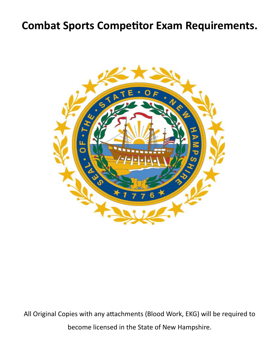## **Combat Sports Competitor Exam Requirements.**



All Original Copies with any attachments (Blood Work, EKG) will be required to become licensed in the State of New Hampshire.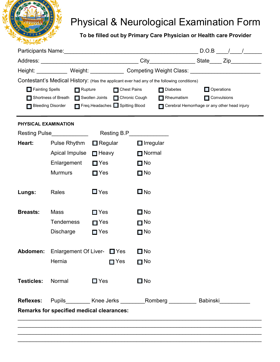

## Physical & Neurological Examination Form

**To be filled out by Primary Care Physician or Health care Provider**

|                                                  |                            |                                                                                                     |                                                                                            | Height: Weight: Weight: Competing Weight Class: Weight: 2008.      |  |  |
|--------------------------------------------------|----------------------------|-----------------------------------------------------------------------------------------------------|--------------------------------------------------------------------------------------------|--------------------------------------------------------------------|--|--|
|                                                  |                            |                                                                                                     | Contestant's Medical History: (Has the applicant ever had any of the following conditions) |                                                                    |  |  |
| Fainting Spells                                  | $\blacksquare$ Rupture     | <b>Chest Pains</b><br>$\Box$ Diabetes                                                               | Operations                                                                                 |                                                                    |  |  |
|                                                  |                            | Shortness of Breath Swollen Joints Chronic Cough<br>Bleeding Disorder Freq.Headaches Spitting Blood | $\blacksquare$ Rheumatism                                                                  | <b>Convulsions</b><br>Cerebral Hemorrhage or any other head injury |  |  |
|                                                  |                            |                                                                                                     |                                                                                            |                                                                    |  |  |
| PHYSICAL EXAMINATION                             |                            |                                                                                                     |                                                                                            |                                                                    |  |  |
|                                                  | Resting Pulse_____________ |                                                                                                     | Resting B.P______________                                                                  |                                                                    |  |  |
| Heart:                                           | Pulse Rhythm               | $\blacksquare$ Regular                                                                              | $\Box$ Irregular                                                                           |                                                                    |  |  |
|                                                  | Apical Impulse             | $\Box$ Heavy                                                                                        | $\Box$ Normal                                                                              |                                                                    |  |  |
|                                                  | Enlargement                | $\Box$ Yes                                                                                          | $\Box$ No                                                                                  |                                                                    |  |  |
|                                                  | <b>Murmurs</b>             | $\Box$ Yes                                                                                          | $\Box$ No                                                                                  |                                                                    |  |  |
|                                                  |                            |                                                                                                     |                                                                                            |                                                                    |  |  |
| Lungs:                                           | Rales                      | $\square$ Yes                                                                                       | $\square$ No                                                                               |                                                                    |  |  |
|                                                  |                            |                                                                                                     |                                                                                            |                                                                    |  |  |
| <b>Breasts:</b>                                  | Mass                       | $\Box$ Yes                                                                                          | $\Box$ No                                                                                  |                                                                    |  |  |
|                                                  | <b>Tenderness</b>          | $\blacksquare$ Yes                                                                                  | $\blacksquare$ No                                                                          |                                                                    |  |  |
|                                                  | <b>Discharge</b>           | $\Box$ Yes                                                                                          | $\Box$ No                                                                                  |                                                                    |  |  |
|                                                  |                            |                                                                                                     |                                                                                            |                                                                    |  |  |
|                                                  |                            | <b>Abdomen:</b> Enlargement Of Liver- ■ Yes                                                         | $\square$ No                                                                               |                                                                    |  |  |
|                                                  | Hernia                     | $\blacksquare$ Yes                                                                                  | $\blacksquare$ No                                                                          |                                                                    |  |  |
| <b>Testicles:</b>                                | Normal                     | $\square$ Yes                                                                                       | $\Box$ No                                                                                  |                                                                    |  |  |
|                                                  |                            |                                                                                                     |                                                                                            |                                                                    |  |  |
| <b>Reflexes:</b>                                 |                            |                                                                                                     | Pupils_________ Knee Jerks ________ Romberg _________ Babinski__________                   |                                                                    |  |  |
| <b>Remarks for specified medical clearances:</b> |                            |                                                                                                     |                                                                                            |                                                                    |  |  |
|                                                  |                            |                                                                                                     |                                                                                            |                                                                    |  |  |
|                                                  |                            |                                                                                                     |                                                                                            |                                                                    |  |  |
|                                                  |                            |                                                                                                     |                                                                                            |                                                                    |  |  |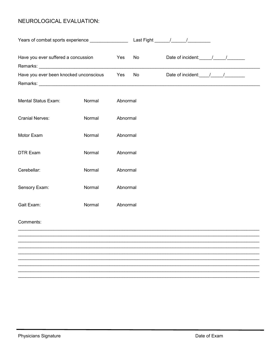### NEUROLOGICAL EVALUATION:

| Years of combat sports experience ________________ |        |          |    |  |                                                 |
|----------------------------------------------------|--------|----------|----|--|-------------------------------------------------|
| Have you ever suffered a concussion<br>Yes         |        |          | No |  |                                                 |
| Have you ever been knocked unconscious             |        | Yes      | No |  | Date of incident: $\frac{1}{2}$ / $\frac{1}{2}$ |
|                                                    |        |          |    |  |                                                 |
| Mental Status Exam:                                | Normal | Abnormal |    |  |                                                 |
| <b>Cranial Nerves:</b>                             | Normal | Abnormal |    |  |                                                 |
| Motor Exam                                         | Normal | Abnormal |    |  |                                                 |
| <b>DTR Exam</b>                                    | Normal | Abnormal |    |  |                                                 |
| Cerebellar:                                        | Normal | Abnormal |    |  |                                                 |
| Sensory Exam:                                      | Normal | Abnormal |    |  |                                                 |
| Gait Exam:                                         | Normal | Abnormal |    |  |                                                 |
| Comments:                                          |        |          |    |  |                                                 |
|                                                    |        |          |    |  |                                                 |
|                                                    |        |          |    |  |                                                 |
|                                                    |        |          |    |  |                                                 |
|                                                    |        |          |    |  |                                                 |
|                                                    |        |          |    |  |                                                 |
|                                                    |        |          |    |  |                                                 |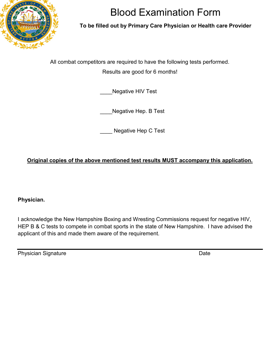

# Blood Examination Form

### **To be filled out by Primary Care Physician or Health care Provider**

All combat competitors are required to have the following tests performed.

Results are good for 6 months!

Negative HIV Test

Negative Hep. B Test

Negative Hep C Test

## **Original copies of the above mentioned test results MUST accompany this application.**

**Physician.**

I acknowledge the New Hampshire Boxing and Wresting Commissions request for negative HIV, HEP B & C tests to compete in combat sports in the state of New Hampshire. I have advised the applicant of this and made them aware of the requirement.

Physician Signature Date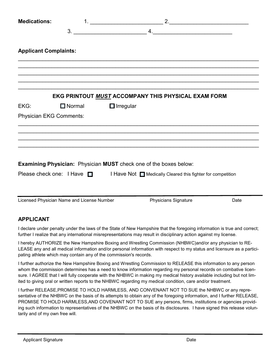| <b>Medications:</b>            |                                            |                  |                                                                                        |      |
|--------------------------------|--------------------------------------------|------------------|----------------------------------------------------------------------------------------|------|
|                                | 3.                                         |                  | $\mathsf{4.}$ $\mathsf{4.}$ . And the set of $\mathsf{4.}$                             |      |
| <b>Applicant Complaints:</b>   |                                            |                  |                                                                                        |      |
|                                |                                            |                  |                                                                                        |      |
|                                |                                            |                  | EKG PRINTOUT MUST ACCOMPANY THIS PHYSICAL EXAM FORM                                    |      |
| EKG:                           | $\Box$ Normal                              | $\Box$ Irregular |                                                                                        |      |
| <b>Physician EKG Comments:</b> |                                            |                  |                                                                                        |      |
|                                |                                            |                  |                                                                                        |      |
|                                |                                            |                  | <b>Examining Physician:</b> Physician MUST check one of the boxes below:               |      |
|                                |                                            |                  | Please check one: I Have □ I Have Not □ Medically Cleared this fighter for competition |      |
|                                | Licensed Physician Name and License Number |                  | <b>Physicians Signature</b>                                                            | Date |

### **APPLICANT**

I declare under penalty under the laws of the State of New Hampshire that the foregoing information is true and correct; further I realize that any international misrepresentations may result in disciplinary action against my license.

I hereby AUTHORIZE the New Hampshire Boxing and Wrestling Commission (NHBWC)and/or any physician to RE-LEASE any and all medical information and/or personal information with respect to my status and licensure as a participating athlete which may contain any of the commission's records.

I further authorize the New Hampshire Boxing and Wrestling Commission to RELEASE this information to any person whom the commission determines has a need to know information regarding my personal records on combative licensure. I AGREE that I will fully cooperate with the NHBWC in making my medical history available including but not limited to giving oral or written reports to the NHBWC regarding my medical condition, care and/or treatment.

I further RELEASE,PROMISE TO HOLD HARMLESS, AND CONVENANT NOT TO SUE the NHBWC or any representative of the NHBWC on the basis of its attempts to obtain any of the foregoing information, and I further RELEASE, PROMISE TO HOLD HARMLESS,AND COVENANT NOT TO SUE any persons, firms, institutions or agencies providing such information to representatives of the NHBWC on the basis of its disclosures. I have signed this release voluntarily and of my own free will.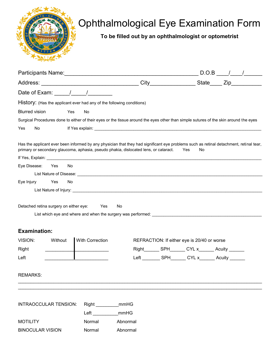

# Ophthalmological Eye Examination Form

**To be filled out by an ophthalmologist or optometrist**

|                                                                                                                                                                                                                                |                        |          |                                                                                                                                                                                                                                |  | $D.O.B$ / / |
|--------------------------------------------------------------------------------------------------------------------------------------------------------------------------------------------------------------------------------|------------------------|----------|--------------------------------------------------------------------------------------------------------------------------------------------------------------------------------------------------------------------------------|--|-------------|
|                                                                                                                                                                                                                                |                        |          |                                                                                                                                                                                                                                |  |             |
|                                                                                                                                                                                                                                |                        |          |                                                                                                                                                                                                                                |  |             |
| History: (Has the applicant ever had any of the following conditions)                                                                                                                                                          |                        |          |                                                                                                                                                                                                                                |  |             |
| <b>Blurred vision</b><br>Yes                                                                                                                                                                                                   | No                     |          |                                                                                                                                                                                                                                |  |             |
| Surgical Procedures done to either of their eyes or the tissue around the eyes other than simple sutures of the skin around the eyes                                                                                           |                        |          |                                                                                                                                                                                                                                |  |             |
| Yes<br>No.                                                                                                                                                                                                                     |                        |          |                                                                                                                                                                                                                                |  |             |
| Has the applicant ever been informed by any physician that they had significant eye problems such as retinal detachment, retinal tear,<br>primary or secondary glaucoma, aphasia, pseudo phakia, dislocated lens, or cataract. |                        |          | Yes<br>No                                                                                                                                                                                                                      |  |             |
|                                                                                                                                                                                                                                |                        |          |                                                                                                                                                                                                                                |  |             |
| Eye Disease:<br>Yes<br>No.                                                                                                                                                                                                     |                        |          |                                                                                                                                                                                                                                |  |             |
|                                                                                                                                                                                                                                |                        |          |                                                                                                                                                                                                                                |  |             |
| Eye Injury<br>Yes<br>No.                                                                                                                                                                                                       |                        |          |                                                                                                                                                                                                                                |  |             |
|                                                                                                                                                                                                                                |                        |          |                                                                                                                                                                                                                                |  |             |
| Detached retina surgery on either eye:                                                                                                                                                                                         | Yes                    | No       |                                                                                                                                                                                                                                |  |             |
|                                                                                                                                                                                                                                |                        |          |                                                                                                                                                                                                                                |  |             |
| <b>Examination:</b>                                                                                                                                                                                                            |                        |          |                                                                                                                                                                                                                                |  |             |
| VISION:<br>Without                                                                                                                                                                                                             | <b>With Correction</b> |          | REFRACTION: If either eye is 20/40 or worse                                                                                                                                                                                    |  |             |
| Right                                                                                                                                                                                                                          |                        |          | Right SPH CYL x CYL x CYL x CYL x CYL x CYL x CYL x CYL x CYL x CYL x CYL x CYL x CYL x CYL x CYL x CYL x CYL x CYL x CYL x CYL x CYL x CYL x CYL x CYL x CYL x CYL x CYL x CYL x CYL x CYL x CYL x CYL x CYL x CYL x CYL x CY |  |             |
| Left                                                                                                                                                                                                                           |                        |          | Left SPH CYL x Acuity                                                                                                                                                                                                          |  |             |
| <b>REMARKS:</b>                                                                                                                                                                                                                |                        |          |                                                                                                                                                                                                                                |  |             |
|                                                                                                                                                                                                                                |                        |          |                                                                                                                                                                                                                                |  |             |
| <b>INTRAOCCULAR TENSION:</b>                                                                                                                                                                                                   | Right mmHG             |          |                                                                                                                                                                                                                                |  |             |
|                                                                                                                                                                                                                                | Left mmHG              |          |                                                                                                                                                                                                                                |  |             |
| <b>MOTILITY</b>                                                                                                                                                                                                                | Normal                 | Abnormal |                                                                                                                                                                                                                                |  |             |
| <b>BINOCULAR VISION</b>                                                                                                                                                                                                        | Normal                 | Abnormal |                                                                                                                                                                                                                                |  |             |